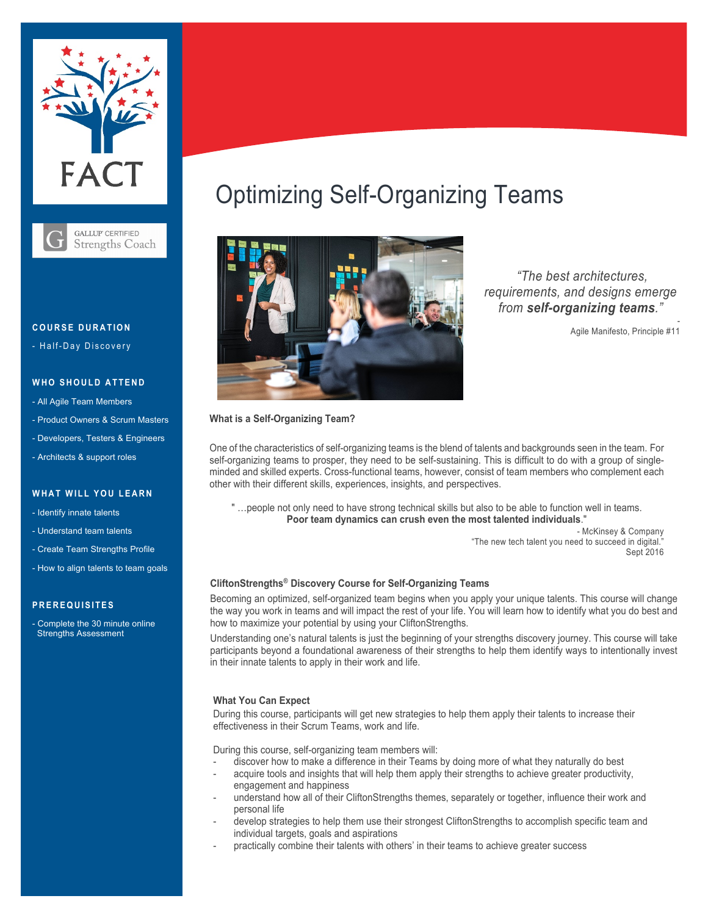

**GALLUP CERTIFIED Strengths Coach** 

#### **COURSE D URATION**

- Half-Day Discovery

### **WHO SHOULD ATTEND**

- All Agile Team Members
- Product Owners & Scrum Masters
- Developers, Testers & Engineers
- Architects & support roles

#### **WHAT WILL YOU LEARN**

- Identify innate talents
- Understand team talents
- Create Team Strengths Profile
- How to align talents to team goals

## **PREREQUISITES**

- Complete the 30 minute online Strengths Assessment

# Optimizing Self-Organizing Teams



*"The best architectures, requirements, and designs emerge from self-organizing teams."*

Agile Manifesto, Principle #11

-

#### **What is a Self-Organizing Team?**

One of the characteristics of self-organizing teams is the blend of talents and backgrounds seen in the team. For self-organizing teams to prosper, they need to be self-sustaining. This is difficult to do with a group of singleminded and skilled experts. Cross-functional teams, however, consist of team members who complement each other with their different skills, experiences, insights, and perspectives.

" …people not only need to have strong technical skills but also to be able to function well in teams. **Poor team dynamics can crush even the most talented individuals**."

> - McKinsey & Company "The new tech talent you need to succeed in digital." Sept 2016

### **CliftonStrengths® Discovery Course for Self-Organizing Teams**

Becoming an optimized, self-organized team begins when you apply your unique talents. This course will change the way you work in teams and will impact the rest of your life. You will learn how to identify what you do best and how to maximize your potential by using your CliftonStrengths.

Understanding one's natural talents is just the beginning of your strengths discovery journey. This course will take participants beyond a foundational awareness of their strengths to help them identify ways to intentionally invest in their innate talents to apply in their work and life.

#### **What You Can Expect**

During this course, participants will get new strategies to help them apply their talents to increase their effectiveness in their Scrum Teams, work and life.

During this course, self-organizing team members will:

- discover how to make a difference in their Teams by doing more of what they naturally do best
- acquire tools and insights that will help them apply their strengths to achieve greater productivity, engagement and happiness
- understand how all of their CliftonStrengths themes, separately or together, influence their work and personal life
- develop strategies to help them use their strongest CliftonStrengths to accomplish specific team and individual targets, goals and aspirations
- practically combine their talents with others' in their teams to achieve greater success